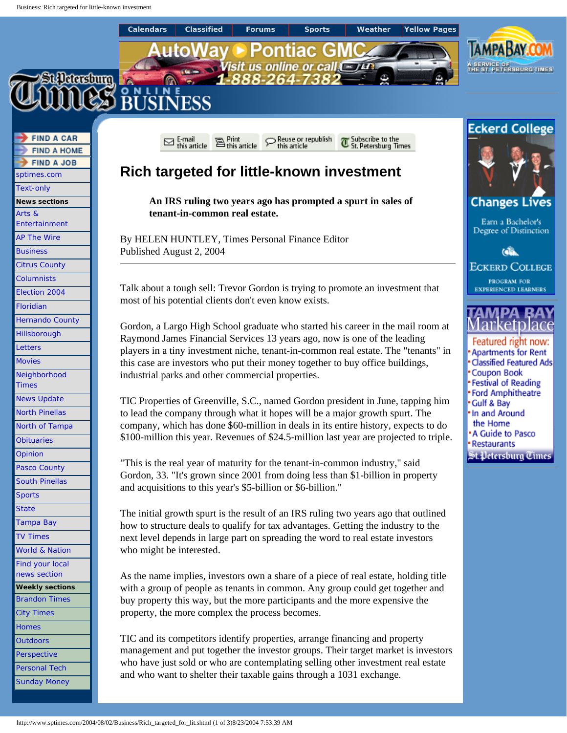<span id="page-0-0"></span>

who have just sold or who are contemplating selling other investment real estate

and who want to shelter their taxable gains through a 1031 exchange.

http://www.sptimes.com/2004/08/02/Business/Rich\_targeted\_for\_lit.shtml (1 of 3)8/23/2004 7:53:39 AM

[Perspective](http://www.sptimes.com/Perspective.shtml) [Personal Tech](http://www.sptimes.com/Technology.shtml) [Sunday Money](http://www.sptimes.com/sunbiz.shtml)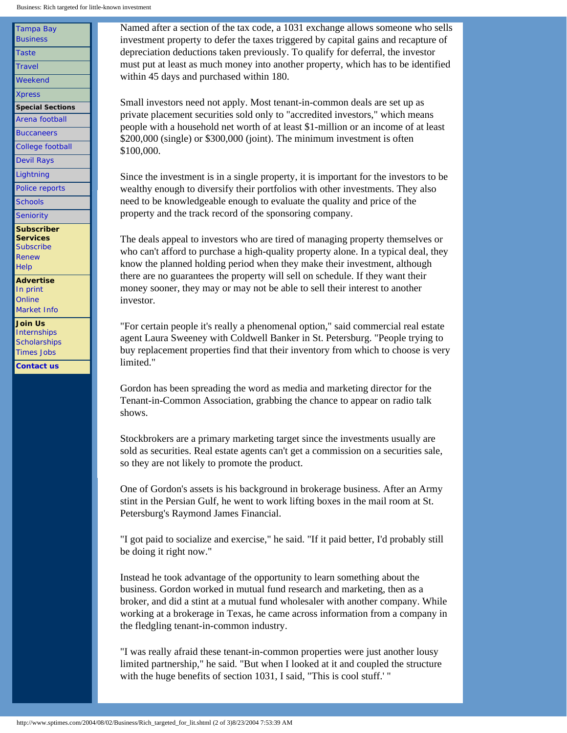[Tampa Bay](http://www.sptimes.com/monbiz.shtml) **[Business](http://www.sptimes.com/monbiz.shtml) [Taste](http://www.sptimes.com/Taste.shtml) [Travel](http://www.sptimes.com/Travel.shtml)** [Weekend](http://www.sptimes.com/Weekend.shtml) [Xpress](http://www.sptimes.com/Xpress.shtml) **Special Sections** [Arena football](http://www.sptimes.com/tbstorm/) **[Buccaneers](http://www.sptimes.com/Bucs/)** [College football](http://www.sptimes.com/Collegefootball) [Devil Rays](http://www.sptimes.com/DevilRays/) **[Lightning](http://www.sptimes.com/Lightning/)** [Police reports](http://www.sptimes.com/crime/) **[Schools](http://www.sptimes.com/News/schools/schoolpage/) [Seniority](http://www.sptimes.com/Seniority.shtml) Subscriber Services [Subscribe](http://www.sptimes.com/subscribe/)** [Renew](https://www.sptimes.com/cgi-bin/WebObjects/TimesSubscribe) **[Help](https://www.sptimes.com/cgi-bin/WebObjects/TimesSubscribe) Advertise**  [In print](http://www.sptimes.com/ratecards/) **[Online](http://www.sptimes.com/ratecards/onlinerates.html)** [Market Info](http://www.sptimes.com/marketbook/) **Join Us [Internships](http://www.sptimes.com/internship/) [Scholarships](http://www.sptimes.com/scholarships/)** 

[Times Jobs](http://www.sptimes.com/Classifieds/timesjobs/Default.html) **[Contact us](http://connect.sptimes.com/)** Named after a section of the tax code, a 1031 exchange allows someone who sells investment property to defer the taxes triggered by capital gains and recapture of depreciation deductions taken previously. To qualify for deferral, the investor must put at least as much money into another property, which has to be identified within 45 days and purchased within 180.

Small investors need not apply. Most tenant-in-common deals are set up as private placement securities sold only to "accredited investors," which means people with a household net worth of at least \$1-million or an income of at least \$200,000 (single) or \$300,000 (joint). The minimum investment is often \$100,000.

Since the investment is in a single property, it is important for the investors to be wealthy enough to diversify their portfolios with other investments. They also need to be knowledgeable enough to evaluate the quality and price of the property and the track record of the sponsoring company.

The deals appeal to investors who are tired of managing property themselves or who can't afford to purchase a high-quality property alone. In a typical deal, they know the planned holding period when they make their investment, although there are no guarantees the property will sell on schedule. If they want their money sooner, they may or may not be able to sell their interest to another investor.

"For certain people it's really a phenomenal option," said commercial real estate agent Laura Sweeney with Coldwell Banker in St. Petersburg. "People trying to buy replacement properties find that their inventory from which to choose is very limited."

Gordon has been spreading the word as media and marketing director for the Tenant-in-Common Association, grabbing the chance to appear on radio talk shows.

Stockbrokers are a primary marketing target since the investments usually are sold as securities. Real estate agents can't get a commission on a securities sale, so they are not likely to promote the product.

One of Gordon's assets is his background in brokerage business. After an Army stint in the Persian Gulf, he went to work lifting boxes in the mail room at St. Petersburg's Raymond James Financial.

"I got paid to socialize and exercise," he said. "If it paid better, I'd probably still be doing it right now."

Instead he took advantage of the opportunity to learn something about the business. Gordon worked in mutual fund research and marketing, then as a broker, and did a stint at a mutual fund wholesaler with another company. While working at a brokerage in Texas, he came across information from a company in the fledgling tenant-in-common industry.

"I was really afraid these tenant-in-common properties were just another lousy limited partnership," he said. "But when I looked at it and coupled the structure with the huge benefits of section 1031, I said, "This is cool stuff.' "